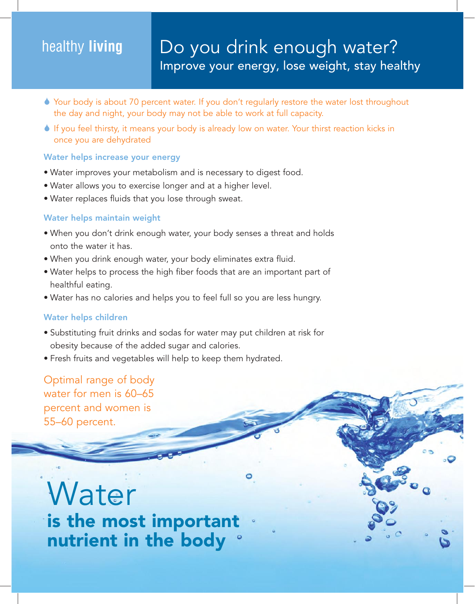# healthy **living**

- 6 Your body is about 70 percent water. If you don't regularly restore the water lost throughout the day and night, your body may not be able to work at full capacity.
- 6 If you feel thirsty, it means your body is already low on water. Your thirst reaction kicks in once you are dehydrated

### Water helps increase your energy

- Water improves your metabolism and is necessary to digest food.
- Water allows you to exercise longer and at a higher level.
- Water replaces fluids that you lose through sweat.

# Water helps maintain weight

- When you don't drink enough water, your body senses a threat and holds onto the water it has.
- When you drink enough water, your body eliminates extra fluid.
- Water helps to process the high fiber foods that are an important part of healthful eating.
- Water has no calories and helps you to feel full so you are less hungry.

# Water helps children

- Substituting fruit drinks and sodas for water may put children at risk for obesity because of the added sugar and calories.
- Fresh fruits and vegetables will help to keep them hydrated.

Optimal range of body water for men is 60–65 percent and women is 55–60 percent.

**Water** is the most important nutrient in the body